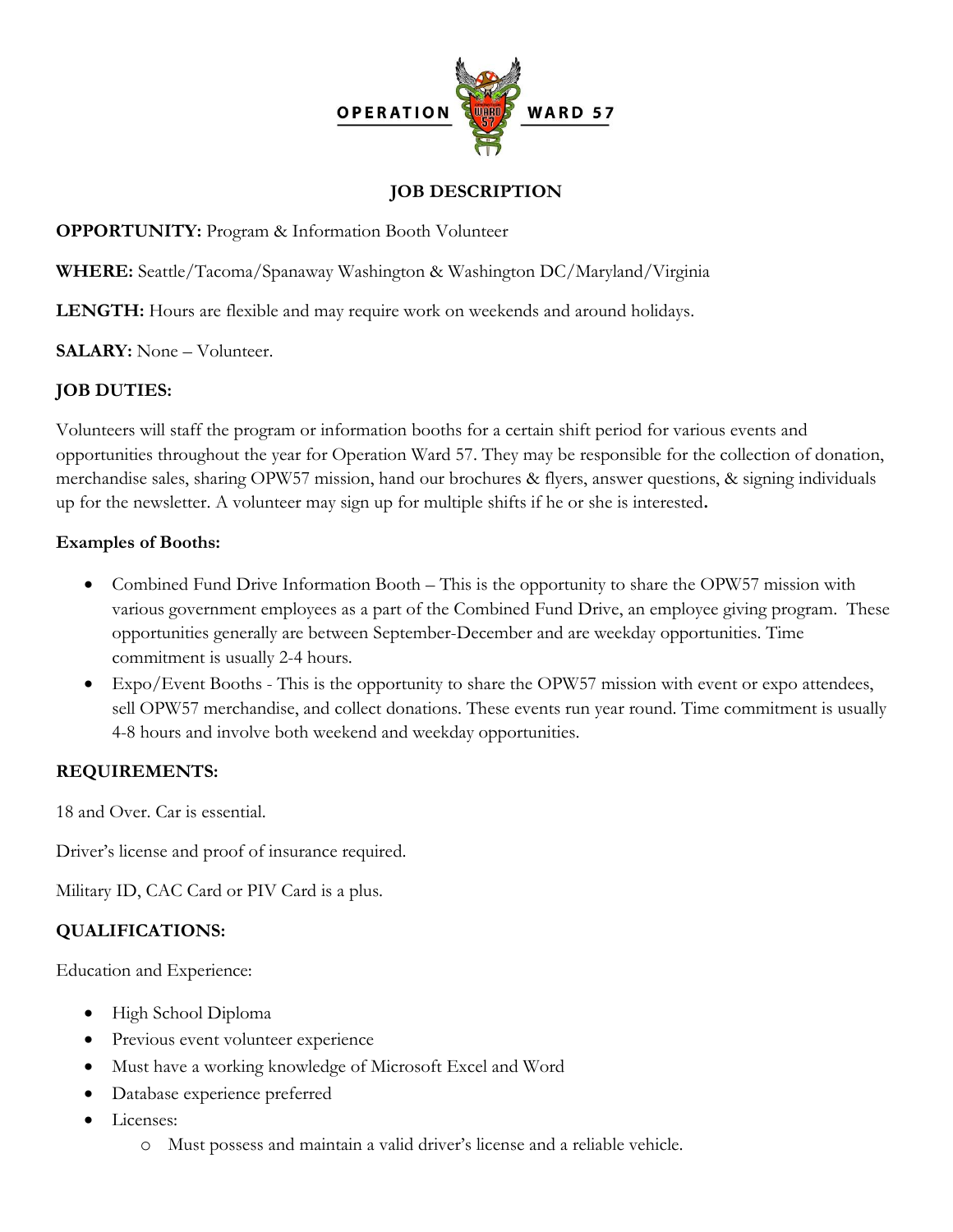

### **JOB DESCRIPTION**

**OPPORTUNITY:** Program & Information Booth Volunteer

**WHERE:** Seattle/Tacoma/Spanaway Washington & Washington DC/Maryland/Virginia

**LENGTH:** Hours are flexible and may require work on weekends and around holidays.

**SALARY:** None – Volunteer.

## **JOB DUTIES:**

Volunteers will staff the program or information booths for a certain shift period for various events and opportunities throughout the year for Operation Ward 57. They may be responsible for the collection of donation, merchandise sales, sharing OPW57 mission, hand our brochures & flyers, answer questions, & signing individuals up for the newsletter. A volunteer may sign up for multiple shifts if he or she is interested**.**

#### **Examples of Booths:**

- Combined Fund Drive Information Booth This is the opportunity to share the OPW57 mission with various government employees as a part of the Combined Fund Drive, an employee giving program. These opportunities generally are between September-December and are weekday opportunities. Time commitment is usually 2-4 hours.
- Expo/Event Booths This is the opportunity to share the OPW57 mission with event or expo attendees, sell OPW57 merchandise, and collect donations. These events run year round. Time commitment is usually 4-8 hours and involve both weekend and weekday opportunities.

#### **REQUIREMENTS:**

18 and Over. Car is essential.

Driver's license and proof of insurance required.

Military ID, CAC Card or PIV Card is a plus.

# **QUALIFICATIONS:**

Education and Experience:

- High School Diploma
- Previous event volunteer experience
- Must have a working knowledge of Microsoft Excel and Word
- Database experience preferred
- Licenses:
	- o Must possess and maintain a valid driver's license and a reliable vehicle.